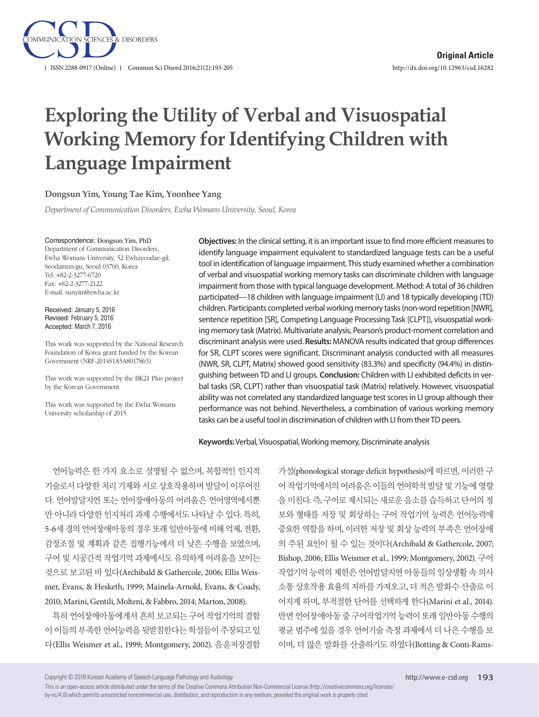

# **Exploring the Utility of Verbal and Visuospatial Working Memory for Identifying Children with Language Impairment**

#### **Dongsun Yim, Young Tae Kim, Yoonhee Yang**

*Department of Communication Disorders, Ewha Womans University, Seoul, Korea*

#### Correspondence: Dongsun Yim, PhD

Department of Communication Disorders, Ewha Womans University, 52 Ewhayeodae-gil, Seodamun-gu, Seoul 03760, Korea Tel: +82-2-3277-6720 Fax: +82-2-3277-2122 E-mail: sunyim@ewha.ac.kr

Received: January 5, 2016 Revised: February 5, 2016 Accepted: March 7, 2016

This work was supported by the National Research Foundation of Korea grant funded by the Korean Government (NRF-2014S1A5A8017863).

This work was supported by the BK21 Plus project by the Korean Government.

This work was supported by the Ewha Womans University scholarship of 2015.

**Objectives:** In the clinical setting, it is an important issue to find more efficient measures to identify language impairment equivalent to standardized language tests can be a useful tool in identification of language impairment. This study examined whether a combination of verbal and visuospatial working memory tasks can discriminate children with language impairment from those with typical language development. Method: A total of 36 children participated—18 children with language impairment (LI) and 18 typically developing (TD) children. Participants completed verbal working memory tasks (non-word repetition [NWR], sentence repetition [SR], Competing Language Processing Task [CLPT]), visuospatial working memory task (Matrix). Multivariate analysis, Pearson's product-moment correlation and discriminant analysis were used. **Results:** MANOVA results indicated that group differences for SR, CLPT scores were significant. Discriminant analysis conducted with all measures (NWR, SR, CLPT, Matrix) showed good sensitivity (83.3%) and specificity (94.4%) in distinguishing between TD and LI groups. **Conclusion:** Children with LI exhibited deficits in verbal tasks (SR, CLPT) rather than visuospatial task (Matrix) relatively. However, visuospatial ability was not correlated any standardized language test scores in LI group although their performance was not behind. Nevertheless, a combination of various working memory tasks can be a useful tool in discrimination of children with LI from their TD peers.

**Keywords:** Verbal, Visuospatial, Working memory, Discriminate analysis

언어능력은 한 가지 요소로 설명될 수 없으며, 복합적인 인지적 기술로서 다양한 처리 기제와 서로 상호작용하며 발달이 이루어진 다. 언어발달지연 또는 언어장애아동의 어려움은 언어영역에서뿐 만 아니라 다양한 인지처리 과제 수행에서도 나타날 수 있다. 특히, 5-6세 경의 언어장애아동의 경우 또래 일반아동에 비해 억제, 전환, 감정조절 및 계획과 같은 집행기능에서 더 낮은 수행을 보였으며, 구어 및 시공간적 작업기억 과제에서도 유의하게 어려움을 보이는 것으로 보고된 바 있다(Archibald & Gathercole, 2006; Ellis Weismer, Evans, & Hesketh, 1999; Mainela-Arnold, Evans, & Coady, 2010; Marini, Gentili, Molteni, & Fabbro, 2014; Marton, 2008).

특히 언어장애아동에게서 흔히 보고되는 구어 작업기억의 결함 이 이들의 부족한 언어능력을 뒷받침한다는 학설들이 주장되고 있 다(Ellis Weismer et al., 1999; Montgomery, 2002). 음운저장결함

가설(phonological storage deficit hypothesis)에 따르면, 이러한 구 어 작업기억에서의 어려움은 이들의 언어학적 발달 및 기능에 영향 을 미친다. 즉, 구어로 제시되는 새로운 음소를 습득하고 단어의 정 보와 형태를 저장 및 회상하는 구어 작업기억 능력은 언어능력에 중요한 역할을 하며, 이러한 저장 및 회상 능력의 부족은 언어장애 의 주된 요인이 될 수 있는 것이다(Archibald & Gathercole, 2007; Bishop, 2006; Ellis Weismer et al., 1999; Montgomery, 2002). 구어 작업기억 능력의 제한은 언어발달지연 아동들의 일상생활 속 의사 소통 상호작용 효율의 저하를 가져오고, 더 적은 발화수 산출로 이 어지게 하며, 부적절한 단어를 선택하게 한다(Marini et al., 2014). 반면 언어장애아동 중 구어작업기억 능력이 또래 일반아동 수행의 평균 범주에 있을 경우 언어기술 측정 과제에서 더 나은 수행을 보 이며, 더 많은 발화를 산출하기도 하였다(Botting & Conti-Rams-

Copyright © 2016 Korean Academy of Speech-Language Pathology and Audiology

This is an open-access article distributed under the terms of the Creative Commons Attribution Non-Commercial License (http://creativecommons.org/licenses/ by-nc/4.0) which permits unrestricted noncommercial use, distribution, and reproduction in any medium, provided the original work is properly cited.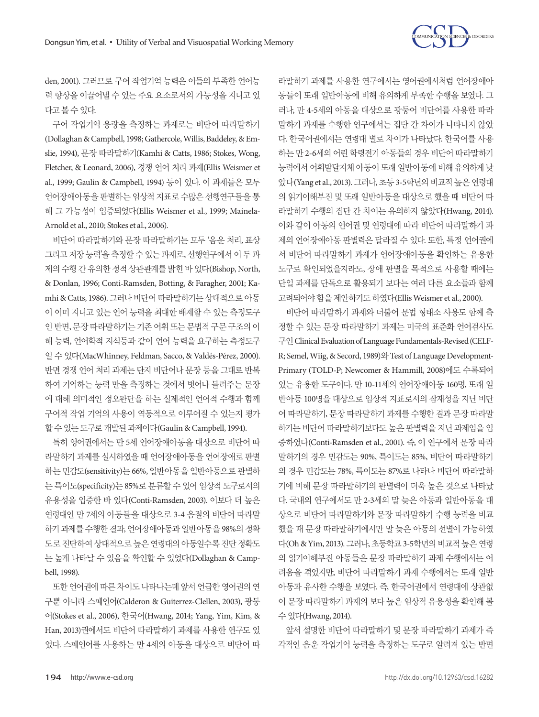

den, 2001). 그러므로 구어 작업기억 능력은 이들의 부족한 언어능 력 향상을 이끌어낼 수 있는 주요 요소로서의 가능성을 지니고 있 다고볼수있다.

구어 작업기억 용량을 측정하는 과제로는 비단어 따라말하기 (Dollaghan & Campbell, 1998; Gathercole, Willis, Baddeley, & Emslie, 1994), 문장 따라말하기(Kamhi & Catts, 1986; Stokes, Wong, Fletcher, & Leonard, 2006), 경쟁 언어 처리 과제(Ellis Weismer et al., 1999; Gaulin & Campbell, 1994) 등이 있다. 이 과제들은 모두 언어장애아동을 판별하는 임상적 지표로 수많은 선행연구들을 통 해 그 가능성이 입증되었다(Ellis Weismer et al., 1999; Mainela-Arnold et al., 2010; Stokes et al., 2006).

비단어 따라말하기와 문장 따라말하기는 모두 '음운 처리, 표상 그리고 저장 능력'을 측정할 수 있는 과제로, 선행연구에서 이 두 과 제의 수행 간 유의한 정적 상관관계를 밝힌 바 있다(Bishop, North, & Donlan, 1996; Conti‐Ramsden, Botting, & Faragher, 2001; Kamhi & Catts, 1986). 그러나 비단어 따라말하기는 상대적으로 아동 이 이미 지니고 있는 언어 능력을 최대한 배제할 수 있는 측정도구 인 반면, 문장 따라말하기는 기존 어휘 또는 문법적 구문 구조의 이 해 능력, 언어학적 지식등과 같이 언어 능력을 요구하는 측정도구 일 수 있다(MacWhinney, Feldman, Sacco, & Valdés-Pérez, 2000). 반면 경쟁 언어 처리 과제는 단지 비단어나 문장 등을 그대로 반복 하여 기억하는 능력 만을 측정하는 것에서 벗어나 들려주는 문장 에 대해 의미적인 정오판단을 하는 실제적인 언어적 수행과 함께 구어적 작업 기억의 사용이 역동적으로 이루어질 수 있는지 평가 할수있는도구로개발된과제이다(Gaulin & Campbell, 1994).

특히 영어권에서는 만 5세 언어장애아동을 대상으로 비단어 따 라말하기 과제를 실시하였을 때 언어장애아동을 언어장애로 판별 하는 민감도(sensitivity)는 66%, 일반아동을 일반아동으로 판별하 는 특이도(specificity)는 85%로 분류할 수 있어 임상적 도구로서의 유용성을 입증한 바 있다(Conti-Ramsden, 2003). 이보다 더 높은 연령대인 만 7세의 아동들을 대상으로 3-4 음절의 비단어 따라말 하기과제를수행한결과, 언어장애아동과일반아동을 98%의정확 도로 진단하여 상대적으로 높은 연령대의 아동일수록 진단 정확도 는 높게 나타날 수 있음을 확인할 수 있었다(Dollaghan & Campbell, 1998).

또한 언어권에 따른 차이도 나타나는데 앞서 언급한 영어권의 연 구뿐 아니라 스페인어(Calderon & Guiterrez-Clellen, 2003), 광둥 어(Stokes et al., 2006), 한국어(Hwang, 2014; Yang, Yim, Kim, & Han, 2013)권에서도 비단어 따라말하기 과제를 사용한 연구도 있 었다. 스페인어를 사용하는 만 4세의 아동을 대상으로 비단어 따

라말하기 과제를 사용한 연구에서는 영어권에서처럼 언어장애아 동들이 또래 일반아동에 비해 유의하게 부족한 수행을 보였다. 그 러나, 만 4-5세의 아동을 대상으로 광둥어 비단어를 사용한 따라 말하기 과제를 수행한 연구에서는 집단 간 차이가 나타나지 않았 다. 한국어권에서는 연령대 별로 차이가 나타났다. 한국어를 사용 하는 만 2-6세의 어린 학령전기 아동들의 경우 비단어 따라말하기 능력에서 어휘발달지체 아동이 또래 일반아동에 비해 유의하게 낮 았다(Yang et al., 2013). 그러나, 초등 3-5학년의 비교적 높은 연령대 의 읽기이해부진 및 또래 일반아동을 대상으로 했을 때 비단어 따 라말하기 수행의 집단 간 차이는 유의하지 않았다(Hwang, 2014). 이와 같이 아동의 언어권 및 연령대에 따라 비단어 따라말하기 과 제의 언어장애아동 판별력은 달라질 수 있다. 또한, 특정 언어권에 서 비단어 따라말하기 과제가 언어장애아동을 확인하는 유용한 도구로 확인되었을지라도, 장애 판별을 목적으로 사용할 때에는 단일 과제를 단독으로 활용되기 보다는 여러 다른 요소들과 함께 고려되어야함을제안하기도하였다(Ellis Weismer et al., 2000).

비단어 따라말하기 과제와 더불어 문법 형태소 사용도 함께 측 정할 수 있는 문장 따라말하기 과제는 미국의 표준화 언어검사도 구인 Clinical Evaluation of Language Fundamentals-Revised (CELF-R; Semel, Wiig, & Secord, 1989)와 Test of Language Development-Primary (TOLD-P; Newcomer & Hammill, 2008)에도 수록되어 있는 유용한 도구이다. 만 10-11세의 언어장애아동 160명, 또래 일 반아동 100명을 대상으로 임상적 지표로서의 잠재성을 지닌 비단 어 따라말하기, 문장 따라말하기 과제를 수행한 결과 문장 따라말 하기는 비단어 따라말하기보다도 높은 판별력을 지닌 과제임을 입 증하였다(Conti-Ramsden et al., 2001). 즉, 이 연구에서 문장 따라 말하기의 경우 민감도는 90%, 특이도는 85%, 비단어 따라말하기 의 경우 민감도는 78%, 특이도는 87%로 나타나 비단어 따라말하 기에 비해 문장 따라말하기의 판별력이 더욱 높은 것으로 나타났 다. 국내의 연구에서도 만 2-3세의 말 늦은 아동과 일반아동을 대 상으로 비단어 따라말하기와 문장 따라말하기 수행 능력을 비교 했을 때 문장 따라말하기에서만 말 늦은 아동의 선별이 가능하였 다(Oh & Yim, 2013). 그러나, 초등학교 3-5학년의 비교적 높은 연령 의 읽기이해부진 아동들은 문장 따라말하기 과제 수행에서는 어 려움을 겪었지만, 비단어 따라말하기 과제 수행에서는 또래 일반 아동과 유사한 수행을 보였다. 즉, 한국어권에서 연령대에 상관없 이 문장 따라말하기 과제의 보다 높은 임상적 유용성을 확인해 볼 수있다(Hwang, 2014).

앞서 설명한 비단어 따라말하기 및 문장 따라말하기 과제가 즉 각적인 음운 작업기억 능력을 측정하는 도구로 알려져 있는 반면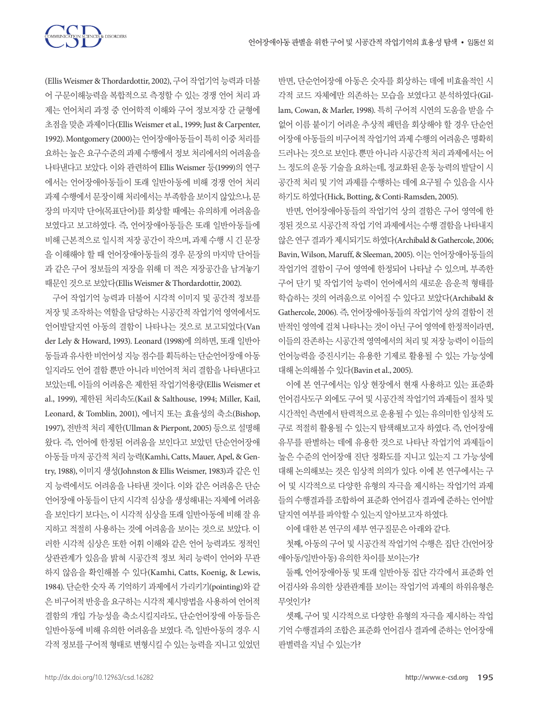

(Ellis Weismer & Thordardottir, 2002), 구어 작업기억 능력과 더불 어 구문이해능력을 복합적으로 측정할 수 있는 경쟁 언어 처리 과 제는 언어처리 과정 중 언어학적 이해와 구어 정보저장 간 균형에 초점을 맞춘 과제이다(Ellis Weismer et al., 1999; Just & Carpenter, 1992). Montgomery (2000)는 언어장애아동들이 특히 이중 처리를 요하는 높은 요구수준의 과제 수행에서 정보 처리에서의 어려움을 나타낸다고 보았다. 이와 관련하여 Ellis Weismer 등(1999)의 연구 에서는 언어장애아동들이 또래 일반아동에 비해 경쟁 언어 처리 과제 수행에서 문장이해 처리에서는 부족함을 보이지 않았으나, 문 장의 마지막 단어(목표단어)를 회상할 때에는 유의하게 어려움을 보였다고 보고하였다. 즉, 언어장애아동들은 또래 일반아동들에 비해 근본적으로 일시적 저장 공간이 작으며, 과제 수행 시 긴 문장 을 이해해야 할 때 언어장애아동들의 경우 문장의 마지막 단어들 과 같은 구어 정보들의 저장을 위해 더 적은 저장공간을 남겨놓기 때문인것으로보았다(Ellis Weismer & Thordardottir, 2002).

구어 작업기억 능력과 더불어 시각적 이미지 및 공간적 정보를 저장 및 조작하는 역할을 담당하는 시공간적 작업기억 영역에서도 언어발달지연 아동의 결함이 나타나는 것으로 보고되었다(Van der Lely & Howard, 1993). Leonard (1998)에 의하면, 또래 일반아 동들과 유사한 비언어성 지능 점수를 획득하는 단순언어장애 아동 일지라도 언어 결함 뿐만 아니라 비언어적 처리 결함을 나타낸다고 보았는데, 이들의 어려움은 제한된 작업기억용량(Ellis Weismer et al., 1999), 제한된 처리속도(Kail & Salthouse, 1994; Miller, Kail, Leonard, & Tomblin, 2001), 에너지 또는 효율성의 축소(Bishop, 1997), 전반적 처리 제한(Ullman & Pierpont, 2005) 등으로 설명해 왔다. 즉, 언어에 한정된 어려움을 보인다고 보았던 단순언어장애 아동들 마저 공간적 처리 능력(Kamhi, Catts, Mauer, Apel, & Gentry, 1988), 이미지 생성(Johnston & Ellis Weismer, 1983)과 같은 인 지 능력에서도 어려움을 나타낸 것이다. 이와 같은 어려움은 단순 언어장애 아동들이 단지 시각적 심상을 생성해내는 자체에 어려움 을 보인다기 보다는, 이 시각적 심상을 또래 일반아동에 비해 잘 유 지하고 적절히 사용하는 것에 어려움을 보이는 것으로 보았다. 이 러한 시각적 심상은 또한 어휘 이해와 같은 언어 능력과도 정적인 상관관계가 있음을 밝혀 시공간적 정보 처리 능력이 언어와 무관 하지 않음을 확인해볼 수 있다(Kamhi, Catts, Koenig, & Lewis, 1984). 단순한 숫자 폭 기억하기 과제에서 가리키기(pointing)와 같 은 비구어적 반응을 요구하는 시각적 제시방법을 사용하여 언어적 결함의 개입 가능성을 축소시킬지라도, 단순언어장애 아동들은 일반아동에 비해 유의한 어려움을 보였다. 즉, 일반아동의 경우 시 각적 정보를 구어적 형태로 변형시킬 수 있는 능력을 지니고 있었던

반면, 단순언어장애 아동은 숫자를 회상하는 데에 비효율적인 시 각적 코드 자체에만 의존하는 모습을 보였다고 분석하였다(Gillam, Cowan, & Marler, 1998). 특히 구어적 시연의 도움을 받을 수 없어 이름 붙이기 어려운 추상적 패턴을 회상해야 할 경우 단순언 어장애 아동들의 비구어적 작업기억 과제 수행의 어려움은 명확히 드러나는 것으로 보인다. 뿐만 아니라 시공간적 처리 과제에서는 어 느 정도의 운동 기술을 요하는데, 정교화된 운동 능력의 발달이 시 공간적 처리 및 기억 과제를 수행하는 데에 요구될 수 있음을 시사 하기도하였다(Hick, Botting, & Conti-Ramsden, 2005).

반면, 언어장애아동들의 작업기억 상의 결함은 구어 영역에 한 정된 것으로 시공간적 작업 기억 과제에서는 수행 결함을 나타내지 않은연구결과가제시되기도하였다(Archibald & Gathercole, 2006; Bavin, Wilson, Maruff, & Sleeman, 2005). 이는 언어장애아동들의 작업기억 결함이 구어 영역에 한정되어 나타날 수 있으며, 부족한 구어 단기 및 작업기억 능력이 언어에서의 새로운 음운적 형태를 학습하는 것의 어려움으로 이어질 수 있다고 보았다(Archibald & Gathercole, 2006). 즉, 언어장애아동들의 작업기억 상의 결함이 전 반적인 영역에 걸쳐 나타나는 것이 아닌 구어 영역에 한정적이라면, 이들의 잔존하는 시공간적 영역에서의 처리 및 저장 능력이 이들의 언어능력을 증진시키는 유용한 기제로 활용될 수 있는 가능성에 대해논의해볼수있다(Bavin et al., 2005).

이에 본 연구에서는 임상 현장에서 현재 사용하고 있는 표준화 언어검사도구 외에도 구어 및 시공간적 작업기억 과제들이 절차 및 시간적인측면에서탄력적으로운용될수있는유의미한임상적도 구로 적절히 활용될 수 있는지 탐색해보고자 하였다. 즉, 언어장애 유무를 판별하는 데에 유용한 것으로 나타난 작업기억 과제들이 높은 수준의 언어장애 진단 정확도를 지니고 있는지 그 가능성에 대해 논의해보는 것은 임상적 의의가 있다. 이에 본 연구에서는 구 어 및 시각적으로 다양한 유형의 자극을 제시하는 작업기억 과제 들의 수행결과를 조합하여 표준화 언어검사 결과에 준하는 언어발 달지연여부를파악할수있는지알아보고자하였다.

이에 대한 본 연구의 세부 연구질문은 아래와 같다.

첫째, 아동의 구어 및 시공간적 작업기억 수행은 집단 간(언어장 애아동/일반아동) 유의한차이를보이는가?

둘째, 언어장애아동 및 또래 일반아동 집단 각각에서 표준화 언 어검사와 유의한 상관관계를 보이는 작업기억 과제의 하위유형은 무엇인가?

셋째, 구어 및 시각적으로 다양한 유형의 자극을 제시하는 작업 기억 수행결과의 조합은 표준화 언어검사 결과에 준하는 언어장애 판별력을 지닐 수 있는가?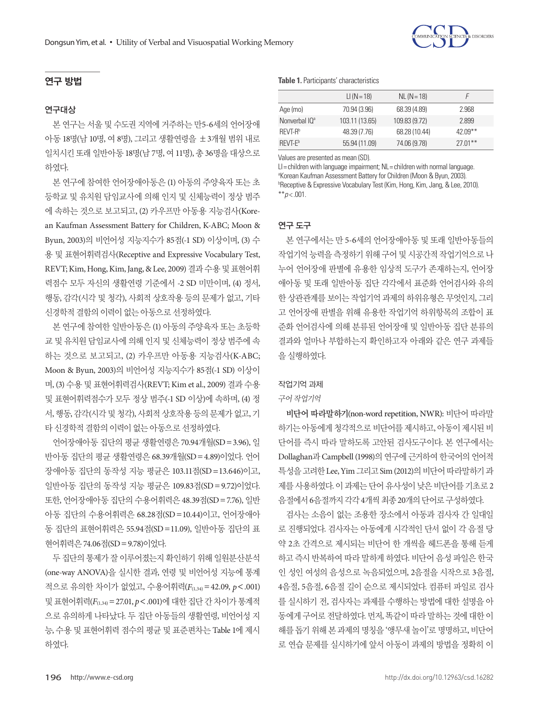## 연구 방법

#### 연구대상

본 연구는 서울 및 수도권 지역에 거주하는 만5-6세의 언어장애 아동 18명(남 10명, 여 8명), 그리고 생활연령을 ±3개월 범위 내로 일치시킨 또래 일반아동 18명(남 7명, 여 11명), 총 36명을 대상으로 하였다.

본 연구에 참여한 언어장애아동은 (1) 아동의 주양육자 또는 초 등학교 및 유치원 담임교사에 의해 인지 및 신체능력이 정상 범주 에 속하는 것으로 보고되고, (2) 카우프만 아동용 지능검사(Korean Kaufman Assessment Battery for Children, K-ABC; Moon & Byun, 2003)의 비언어성 지능지수가 85점(-1 SD) 이상이며, (3) 수 용 및 표현어휘력검사(Receptive and Expressive Vocabulary Test, REVT; Kim, Hong, Kim, Jang, & Lee, 2009) 결과수용및표현어휘 력점수 모두 자신의 생활연령 기준에서 -2 SD 미만이며, (4) 정서, 행동, 감각(시각 및 청각), 사회적 상호작용 등의 문제가 없고, 기타 신경학적 결함의 이력이 없는 아동으로 선정하였다.

본 연구에 참여한 일반아동은 (1) 아동의 주양육자 또는 초등학 교 및 유치원 담임교사에 의해 인지 및 신체능력이 정상 범주에 속 하는 것으로 보고되고, (2) 카우프만 아동용 지능검사(K-ABC; Moon & Byun, 2003)의 비언어성 지능지수가 85점(-1 SD) 이상이 며, (3) 수용 및 표현어휘력검사(REVT; Kim et al., 2009) 결과 수용 및 표현어휘력점수가 모두 정상 범주(-1 SD 이상)에 속하며, (4) 정 서, 행동, 감각(시각 및 청각), 사회적 상호작용 등의 문제가 없고, 기 타신경학적결함의이력이없는아동으로선정하였다.

언어장애아동 집단의 평균 생활연령은 70.94개월(SD=3.96), 일 반아동 집단의 평균 생활연령은 68.39개월(SD=4.89)이었다. 언어 장애아동 집단의 동작성 지능 평균은 103.11점(SD=13.646)이고, 일반아동 집단의 동작성 지능 평균은 109.83점(SD=9.72)이었다. 또한, 언어장애아동 집단의 수용어휘력은 48.39점(SD=7.76), 일반 아동 집단의 수용어휘력은 68.28점(SD=10.44)이고, 언어장애아 동 집단의 표현어휘력은 55.94점(SD=11.09), 일반아동 집단의 표 현어휘력은 74.06점(SD=9.78)이었다.

두 집단의 통제가 잘 이루어졌는지 확인하기 위해 일원분산분석 (one-way ANOVA)을 실시한 결과, 연령 및 비언어성 지능에 통계 적으로 유의한 차이가 없었고, 수용어휘력(*F*(1,34)=42.09, *p*<.001) 및표현어휘력(*F*(1,34)=27.01, *p*<.001)에대한집단간차이가통계적 으로 유의하게 나타났다. 두 집단 아동들의 생활연령, 비언어성 지 능, 수용 및 표현어휘력 점수의 평균 및 표준편차는 Table 1에 제시 하였다.

|                           | $LI (N = 18)$  | $NL (N = 18)$ |             |
|---------------------------|----------------|---------------|-------------|
| Age (mo)                  | 70.94 (3.96)   | 68.39 (4.89)  | 2.968       |
| Nonverbal IO <sup>a</sup> | 103.11 (13.65) | 109.83 (9.72) | 2899        |
| RFVT-R <sup>b</sup>       | 48.39 (7.76)   | 68.28 (10.44) | 42 $0.9***$ |
| RFVT-F <sup>b</sup>       | 55.94 (11.09)  | 74.06 (9.78)  | $27.01**$   |

Values are presented as mean (SD).

LI= children with language impairment; NL= children with normal language. <sup>a</sup>Korean Kaufman Assessment Battery for Children (Moon & Byun, 2003). **BReceptive & Expressive Vocabulary Test (Kim, Hong, Kim, Jang, & Lee, 2010).** \*\**p* < .001.

## 연구 도구

본 연구에서는 만 5-6세의 언어장애아동 및 또래 일반아동들의 작업기억 능력을 측정하기 위해 구어 및 시공간적 작업기억으로 나 누어 언어장애 판별에 유용한 임상적 도구가 존재하는지, 언어장 애아동 및 또래 일반아동 집단 각각에서 표준화 언어검사와 유의 한 상관관계를 보이는 작업기억 과제의 하위유형은 무엇인지, 그리 고 언어장애 판별을 위해 유용한 작업기억 하위항목의 조합이 표 준화 언어검사에 의해 분류된 언어장애 및 일반아동 집단 분류의 결과와 얼마나 부합하는지 확인하고자 아래와 같은 연구 과제들 을실행하였다.

#### 작업기억 과제

#### 구어작업기억

비단어 따라말하기(non-word repetition, NWR): 비단어 따라말 하기는 아동에게 청각적으로 비단어를 제시하고, 아동이 제시된 비 단어를 즉시 따라 말하도록 고안된 검사도구이다. 본 연구에서는 Dollaghan과 Campbell (1998)의 연구에 근거하여 한국어의 언어적 특성을고려한 Lee, Yim 그리고 Sim (2012)의비단어따라말하기과 제를 사용하였다. 이 과제는 단어 유사성이 낮은 비단어를 기초로 2 음절에서 6음절까지 각각 4개씩 최종 20개의 단어로 구성하였다.

검사는 소음이 없는 조용한 장소에서 아동과 검사자 간 일대일 로 진행되었다. 검사자는 아동에게 시각적인 단서 없이 각 음절 당 약 2초 간격으로 제시되는 비단어 한 개씩을 헤드폰을 통해 듣게 하고 즉시 반복하여 따라 말하게 하였다. 비단어 음성 파일은 한국 인 성인 여성의 음성으로 녹음되었으며, 2음절을 시작으로 3음절, 4음절, 5음절, 6음절 길이 순으로 제시되었다. 컴퓨터 파일로 검사 를 실시하기 전, 검사자는 과제를 수행하는 방법에 대한 설명을 아 동에게 구어로 전달하였다. 먼저, 똑같이 따라 말하는 것에 대한 이 해를 돕기 위해 본 과제의 명칭을 '앵무새 놀이'로 명명하고, 비단어 로 연습 문제를 실시하기에 앞서 아동이 과제의 방법을 정확히 이

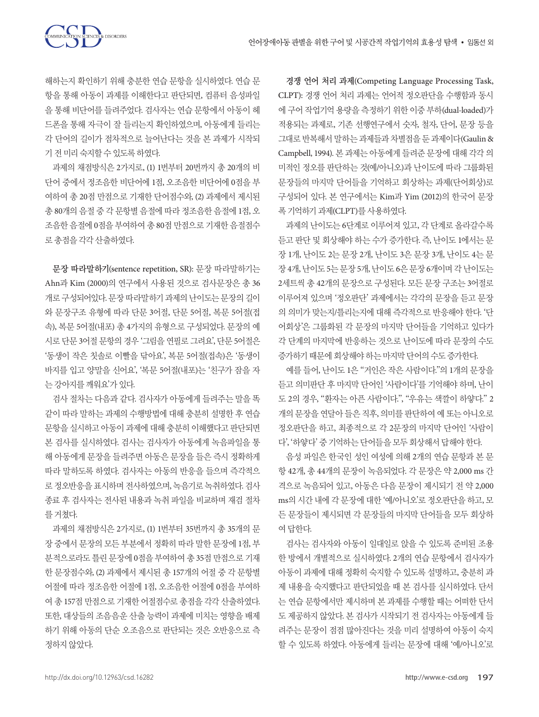해하는지 확인하기 위해 충분한 연습 문항을 실시하였다. 연습 문 항을 통해 아동이 과제를 이해한다고 판단되면, 컴퓨터 음성파일 을 통해 비단어를 들려주었다. 검사자는 연습 문항에서 아동이 헤 드폰을 통해 자극이 잘 들리는지 확인하였으며, 아동에게 들리는 각 단어의 길이가 점차적으로 늘어난다는 것을 본 과제가 시작되 기전미리숙지할수있도록하였다.

과제의 채점방식은 2가지로, (1) 1번부터 20번까지 총 20개의 비 단어 중에서 정조음한 비단어에 1점, 오조음한 비단어에 0점을 부 여하여 총 20점 만점으로 기재한 단어점수와, (2) 과제에서 제시된 총 80개의 음절 중 각 문항별 음절에 따라 정조음한 음절에 1점, 오 조음한 음절에 0점을 부여하여 총 80점 만점으로 기재한 음절점수 로총점을각각산출하였다.

문장 따라말하기(sentence repetition, SR): 문장 따라말하기는 Ahn과 Kim (2000)의 연구에서 사용된 것으로 검사문장은 총 36 개로구성되어있다. 문장따라말하기과제의난이도는문장의길이 와 문장구조 유형에 따라 단문 3어절, 단문 5어절, 복문 5어절(접 속), 복문 5어절(내포) 총 4가지의 유형으로 구성되었다. 문장의 예 시로 단문 3어절 문항의 경우 '그림을 연필로 그려요', 단문 5어절은 '동생이 작은 칫솔로 이빨을 닦아요', 복문 5어절(접속)은 '동생이 바지를 입고 양말을 신어요', '복문 5어절(내포)는 '친구가 잠을 자 는강아지를깨워요'가있다.

검사 절차는 다음과 같다. 검사자가 아동에게 들려주는 말을 똑 같이 따라 말하는 과제의 수행방법에 대해 충분히 설명한 후 연습 문항을 실시하고 아동이 과제에 대해 충분히 이해했다고 판단되면 본 검사를 실시하였다. 검사는 검사자가 아동에게 녹음파일을 통 해 아동에게 문장을 들려주면 아동은 문장을 들은 즉시 정확하게 따라 말하도록 하였다. 검사자는 아동의 반응을 들으며 즉각적으 로 정오반응을 표시하며 전사하였으며, 녹음기로 녹취하였다. 검사 종료 후 검사자는 전사된 내용과 녹취 파일을 비교하며 재검 절차 를거쳤다.

과제의 채점방식은 2가지로, (1) 1번부터 35번까지 총 35개의 문 장 중에서 문장의 모든 부분에서 정확히 따라 말한 문장에 1점, 부 분적으로라도 틀린 문장에 0점을 부여하여 총 35점 만점으로 기재 한 문장점수와, (2) 과제에서 제시된 총 157개의 어절 중 각 문항별 어절에 따라 정조음한 어절에 1점, 오조음한 어절에 0점을 부여하 여 총 157점 만점으로 기재한 어절점수로 총점을 각각 산출하였다. 또한, 대상들의 조음음운 산출 능력이 과제에 미치는 영향을 배제 하기 위해 아동의 단순 오조음으로 판단되는 것은 오반응으로 측 정하지않았다.

경쟁 언어 처리 과제(Competing Language Processing Task, CLPT): 경쟁 언어 처리 과제는 언어적 정오판단을 수행함과 동시 에 구어 작업기억 용량을 측정하기 위한 이중 부하(dual-loaded)가 적용되는 과제로, 기존 선행연구에서 숫자, 철자, 단어, 문장 등을 그대로반복해서말하는과제들과차별점을둔과제이다(Gaulin & Campbell, 1994). 본 과제는 아동에게 들려준 문장에 대해 각각 의 미적인 정오를 판단하는 것(예/아니오)과 난이도에 따라 그룹화된 문장들의 마지막 단어들을 기억하고 회상하는 과제(단어회상)로 구성되어 있다. 본 연구에서는 Kim과 Yim (2012)의 한국어 문장 폭기억하기과제(CLPT)를사용하였다.

과제의 난이도는 6단계로 이루어져 있고, 각 단계로 올라갈수록 듣고 판단 및 회상해야 하는 수가 증가한다. 즉, 난이도 1에서는 문 장 1개, 난이도 2는 문장 2개, 난이도 3은 문장 3개, 난이도 4는 문 장 4개, 난이도 5는 문장 5개, 난이도 6은 문장 6개이며 각 난이도는 2세트씩 총 42개의 문장으로 구성된다. 모든 문장 구조는 3어절로 이루어져 있으며 '정오판단' 과제에서는 각각의 문장을 듣고 문장 의 의미가 맞는지/틀리는지에 대해 즉각적으로 반응해야 한다. '단 어회상'은 그룹화된 각 문장의 마지막 단어들을 기억하고 있다가 각 단계의 마지막에 반응하는 것으로 난이도에 따라 문장의 수도 증가하기때문에회상해야하는마지막단어의수도증가한다.

예를 들어, 난이도 1은 "거인은 작은 사람이다."의 1개의 문장을 듣고 의미판단 후 마지막 단어인 '사람이다'를 기억해야 하며, 난이 도 2의 경우, "환자는 아픈 사람이다.", "우유는 색깔이 하얗다." 2 개의 문장을 연달아 들은 직후, 의미를 판단하여 예 또는 아니오로 정오판단을 하고, 최종적으로 각 2문장의 마지막 단어인 '사람이 다', '하얗다'중기억하는단어들을모두회상해서답해야한다.

음성 파일은 한국인 성인 여성에 의해 2개의 연습 문항과 본 문 항 42개, 총 44개의 문장이 녹음되었다. 각 문장은 약 2,000 ms 간 격으로 녹음되어 있고, 아동은 다음 문장이 제시되기 전 약 2,000 ms의 시간 내에 각 문장에 대한 '예/아니오'로 정오판단을 하고, 모 든 문장들이 제시되면 각 문장들의 마지막 단어들을 모두 회상하 여답한다.

검사는 검사자와 아동이 일대일로 앉을 수 있도록 준비된 조용 한 방에서 개별적으로 실시하였다. 2개의 연습 문항에서 검사자가 아동이 과제에 대해 정확히 숙지할 수 있도록 설명하고, 충분히 과 제 내용을 숙지했다고 판단되었을 때 본 검사를 실시하였다. 단서 는 연습 문항에서만 제시하며 본 과제를 수행할 때는 어떠한 단서 도 제공하지 않았다. 본 검사가 시작되기 전 검사자는 아동에게 들 려주는 문장이 점점 많아진다는 것을 미리 설명하여 아동이 숙지 할 수 있도록 하였다. 아동에게 들리는 문장에 대해 '예/아니오'로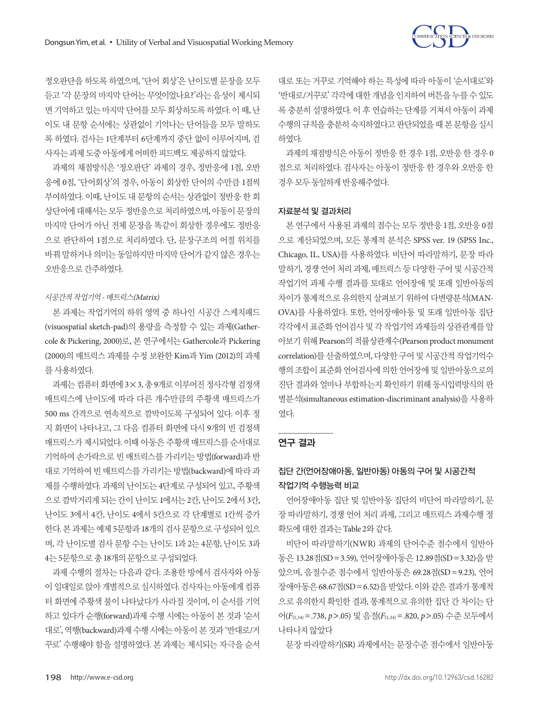

정오판단을 하도록 하였으며, '단어 회상'은 난이도별 문장을 모두 듣고 '각 문장의 마지막 단어는 무엇이었나요?'라는 음성이 제시되 면 기억하고 있는 마지막 단어를 모두 회상하도록 하였다. 이 때, 난 이도 내 문항 순서에는 상관없이 기억나는 단어들을 모두 말하도 록 하였다. 검사는 1단계부터 6단계까지 중단 없이 이루어지며, 검 사자는과제도중아동에게어떠한피드백도제공하지않았다.

과제의 채점방식은 '정오판단' 과제의 경우, 정반응에 1점, 오반 응에 0점, '단어회상'의 경우, 아동이 회상한 단어의 수만큼 1점씩 부여하였다. 이때, 난이도 내 문항의 순서는 상관없이 정반응 한 회 상단어에 대해서는 모두 정반응으로 처리하였으며, 아동이 문장의 마지막 단어가 아닌 전체 문장을 똑같이 회상한 경우에도 정반응 으로 판단하여 1점으로 처리하였다. 단, 문장구조의 어절 위치를 바꿔 말하거나 의미는 동일하지만 마지막 단어가 같지 않은 경우는 오반응으로간주하였다.

#### 시공간적작업기억 - 매트릭스(Matrix)

본 과제는 작업기억의 하위 영역 중 하나인 시공간 스케치패드 (visuospatial sketch-pad)의 용량을 측정할 수 있는 과제(Gathercole & Pickering, 2000)로, 본 연구에서는 Gathercole과 Pickering (2000)의 매트릭스 과제를 수정 보완한 Kim과 Yim (2012)의 과제 를사용하였다.

과제는 컴퓨터 화면에 3×3, 총 9개로 이루어진 정사각형 검정색 매트릭스에 난이도에 따라 다른 개수만큼의 주황색 매트릭스가 500 ms 간격으로 연속적으로 깜박이도록 구성되어 있다. 이후 정 지 화면이 나타나고, 그 다음 컴퓨터 화면에 다시 9개의 빈 검정색 매트릭스가 제시되었다. 이때 아동은 주황색 매트릭스를 순서대로 기억하여 손가락으로 빈 매트릭스를 가리키는 방법(forward)과 반 대로 기억하여 빈 매트릭스를 가리키는 방법(backward)에 따라 과 제를 수행하였다. 과제의 난이도는 4단계로 구성되어 있고, 주황색 으로 깜박거리게 되는 칸이 난이도 1에서는 2칸, 난이도 2에서 3칸, 난이도 3에서 4칸, 난이도 4에서 5칸으로 각 단계별로 1칸씩 증가 한다. 본 과제는 예제 5문항과 18개의 검사 문항으로 구성되어 있으 며, 각 난이도별 검사 문항 수는 난이도 1과 2는 4문항, 난이도 3과 4는 5문항으로총 18개의문항으로구성되었다.

과제 수행의 절차는 다음과 같다. 조용한 방에서 검사자와 아동 이 일대일로 앉아 개별적으로 실시하였다. 검사자는 아동에게 컴퓨 터 화면에 주황색 불이 나타났다가 사라질 것이며, 이 순서를 기억 하고 있다가 순행(forward)과제 수행 시에는 아동이 본 것과 '순서 대로', 역행(backward)과제 수행 시에는 아동이 본 것과 '반대로/거 꾸로' 수행해야 함을 설명하였다. 본 과제는 제시되는 자극을 순서

대로 또는 거꾸로 기억해야 하는 특성에 따라 아동이 '순서대로'와 '반대로/거꾸로' 각각에 대한 개념을 인지하여 버튼을 누를 수 있도 록 충분히 설명하였다. 이 후 연습하는 단계를 거쳐서 아동이 과제 수행의 규칙을 충분히 숙지하였다고 판단되었을 때 본 문항을 실시 하였다.

과제의 채점방식은 아동이 정반응 한 경우 1점, 오반응 한 경우 0 점으로 처리하였다. 검사자는 아동이 정반응 한 경우와 오반응 한 경우모두동일하게반응해주었다.

#### 자료분석 및 결과처리

본 연구에서 사용된 과제의 점수는 모두 정반응 1점, 오반응 0점 으로 계산되었으며, 모든 통계적 분석은 SPSS ver. 19 (SPSS Inc., Chicago, IL, USA)를 사용하였다. 비단어 따라말하기, 문장 따라 말하기, 경쟁 언어 처리 과제, 매트릭스 등 다양한 구어 및 시공간적 작업기억 과제 수행 결과를 토대로 언어장애 및 또래 일반아동의 차이가 통계적으로 유의한지 살펴보기 위하여 다변량분석(MAN-OVA)를 사용하였다. 또한, 언어장애아동 및 또래 일반아동 집단 각각에서 표준화 언어검사 및 각 작업기억 과제들의 상관관계를 알 아보기 위해 Pearson의 적률상관계수(Pearson product monument correlation)를 산출하였으며, 다양한 구어 및 시공간적 작업기억수 행의 조합이 표준화 언어검사에 의한 언어장애 및 일반아동으로의 진단 결과와 얼마나 부합하는지 확인하기 위해 동시입력방식의 판 별분석(simultaneous estimation-discriminant analysis)을 사용하 였다.

#### 연구 결과

# 집단 간(언어장애아동, 일반아동) 아동의 구어 및 시공간적 작업기억 수행능력 비교

언어장애아동 집단 및 일반아동 집단의 비단어 따라말하기, 문 장 따라말하기, 경쟁 언어 처리 과제, 그리고 매트릭스 과제수행 정 확도에대한결과는 Table 2와같다.

비단어 따라말하기(NWR) 과제의 단어수준 점수에서 일반아 동은 13.28점(SD=3.59), 언어장애아동은 12.89점(SD=3.32)을 받 았으며, 음절수준 점수에서 일반아동은 69.28점(SD=9.23), 언어 장애아동은 68.67점(SD=6.52)을받았다. 이와같은결과가통계적 으로 유의한지 확인한 결과, 통계적으로 유의한 집단 간 차이는 단 어(*F*(1,34)=.738, *p*>.05) 및 음절(*F*(1,34)=.820, *p*>.05) 수준 모두에서 나타나지않았다

문장 따라말하기(SR) 과제에서는 문장수준 점수에서 일반아동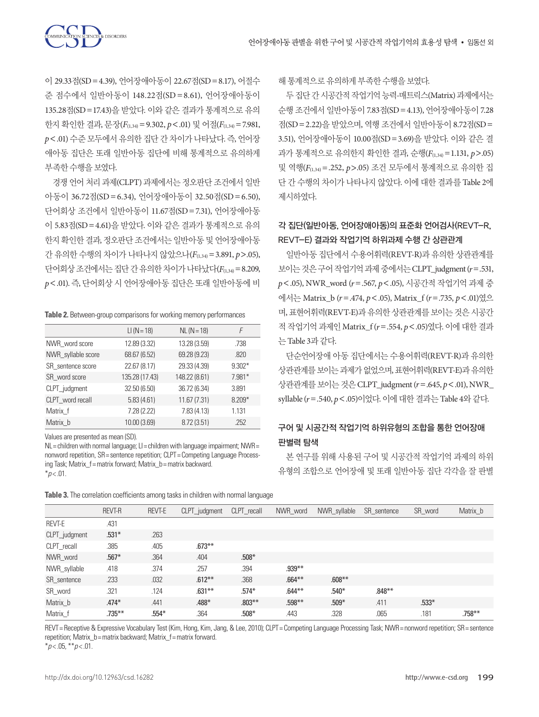

이 29.33점(SD=4.39), 언어장애아동이 22.67점(SD=8.17), 어절수 준 점수에서 일반아동이 148.22점(SD =8.61), 언어장애아동이 135.28점(SD=17.43)을 받았다. 이와 같은 결과가 통계적으로 유의 한지 확인한 결과, 문장(*F*(1,34)=9.302, *p*<.01) 및 어절(*F*(1,34)=7.981, *p*<.01) 수준 모두에서 유의한 집단 간 차이가 나타났다. 즉, 언어장 애아동 집단은 또래 일반아동 집단에 비해 통계적으로 유의하게 부족한수행을보였다.

경쟁 언어 처리 과제(CLPT) 과제에서는 정오판단 조건에서 일반 아동이 36.72점(SD=6.34), 언어장애아동이 32.50점(SD=6.50), 단어회상 조건에서 일반아동이 11.67점(SD=7.31), 언어장애아동 이 5.83점(SD=4.61)을 받았다. 이와 같은 결과가 통계적으로 유의 한지 확인한 결과, 정오판단 조건에서는 일반아동 및 언어장애아동 간 유의한 수행의 차이가 나타나지 않았으나(*F*(1,34)=3.891, *p*>.05), 단어회상 조건에서는 집단 간 유의한 차이가 나타났다(F(1,34) = 8.209, *p*<.01). 즉, 단어회상 시 언어장애아동 집단은 또래 일반아동에 비

#### **Table 2.** Between-group comparisons for working memory performances

|                    | $LI (N = 18)$  | $NL (N = 18)$ | F        |
|--------------------|----------------|---------------|----------|
| NWR_word score     | 12.89 (3.32)   | 13.28 (3.59)  | .738     |
| NWR_syllable score | 68.67 (6.52)   | 69.28 (9.23)  | .820     |
| SR sentence score  | 22.67 (8.17)   | 29.33 (4.39)  | $9.302*$ |
| SR word score      | 135.28 (17.43) | 148.22 (8.61) | $7.981*$ |
| CLPT_judgment      | 32.50 (6.50)   | 36.72 (6.34)  | 3.891    |
| CLPT_word recall   | 5.83(4.61)     | 11.67 (7.31)  | $8.209*$ |
| Matrix f           | 7.28 (2.22)    | 7.83(4.13)    | 1.131    |
| Matrix b           | 10.00 (3.69)   | 8.72 (3.51)   | .252     |

Values are presented as mean (SD).

NL = children with normal language; LI = children with language impairment; NWR = nonword repetition, SR = sentence repetition; CLPT = Competing Language Processing Task; Matrix\_f= matrix forward; Matrix\_b= matrix backward  $*_{p<.01}$ .

**Table 3.** The correlation coefficients among tasks in children with normal language

해통계적으로유의하게부족한수행을보였다.

두집단간시공간적작업기억능력-매트릭스(Matrix) 과제에서는 순행 조건에서 일반아동이 7.83점(SD=4.13), 언어장애아동이 7.28 점(SD=2.22)을 받았으며, 역행 조건에서 일반아동이 8.72점(SD= 3.51), 언어장애아동이 10.00점(SD=3.69)을 받았다. 이와 같은 결 과가 통계적으로 유의한지 확인한 결과, 순행(*F*(1,34)=1.131, *p*>.05) 및 역행(*F*(1,34)=.252, *p*>.05) 조건 모두에서 통계적으로 유의한 집 단 간 수행의 차이가 나타나지 않았다. 이에 대한 결과를 Table 2에 제시하였다.

# 각 집단(일반아동, 언어장애아동)의 표준화 언어검사(REVT-R, REVT-E) 결과와 작업기억 하위과제 수행 간 상관관계

일반아동 집단에서 수용어휘력(REVT-R)과 유의한 상관관계를 보이는것은구어작업기억과제중에서는 CLPT\_judgment (*r*=.531, *p*<.05), NWR\_word (*r*=.567, *p*<.05), 시공간적 작업기억 과제 중 에서는 Matrix\_b (*r*=.474, *p*<.05), Matrix\_f (*r*=.735, *p*<.01)였으 며, 표현어휘력(REVT-E)과 유의한 상관관계를 보이는 것은 시공가 적 작업기억 과제인 Matrix\_f (*r*=.554, *p*<.05)였다. 이에 대한 결과 는 Table 3과같다.

단순언어장애 아동 집단에서는 수용어휘력(REVT-R)과 유의한 상관관계를 보이는 과제가 없었으며, 표현어휘력(REVT-E)과 유의한 상관관계를보이는것은 CLPT\_judgment (*r*=.645, *p*<.01), NWR\_ syllable (*r*=.540, *p*<.05)이었다. 이에대한결과는 Table 4와같다.

# 구어 및 시공간적 작업기억 하위유형의 조합을 통한 언어장애 판별력 탐색

본 연구를 위해 사용된 구어 및 시공간적 작업기억 과제의 하위 유형의 조합으로 언어장애 및 또래 일반아동 집단 각각을 잘 판별

|               | REVT-R    | REVT-E  | CLPT_judgment | CLPT recall | NWR_word  | NWR_syllable | SR sentence | SR_word | Matrix b  |
|---------------|-----------|---------|---------------|-------------|-----------|--------------|-------------|---------|-----------|
| REVT-E        | .431      |         |               |             |           |              |             |         |           |
| CLPT_judgment | $.531*$   | .263    |               |             |           |              |             |         |           |
| CLPT_recall   | .385      | .405    | $.673**$      |             |           |              |             |         |           |
| NWR word      | $.567*$   | .364    | .404          | $.508*$     |           |              |             |         |           |
| NWR_syllable  | .418      | .374    | .257          | .394        | $.939***$ |              |             |         |           |
| SR sentence   | .233      | .032    | $.612***$     | .368        | $.664***$ | $.608***$    |             |         |           |
| SR_word       | .321      | .124    | $.631**$      | $.574*$     | $.644**$  | $.540*$      | $.848***$   |         |           |
| Matrix b      | $.474*$   | .441    | $.488*$       | $.803***$   | $.598**$  | $.509*$      | .411        | $.533*$ |           |
| Matrix f      | $.735***$ | $.554*$ | .364          | $.508*$     | .443      | .328         | .065        | .181    | $.758***$ |

REVT = Receptive & Expressive Vocabulary Test (Kim, Hong, Kim, Jang, & Lee, 2010); CLPT = Competing Language Processing Task; NWR = nonword repetition; SR = sentence repetition; Matrix\_b= matrix backward; Matrix\_f= matrix forward.

\**p* < .05, \*\**p* < .01.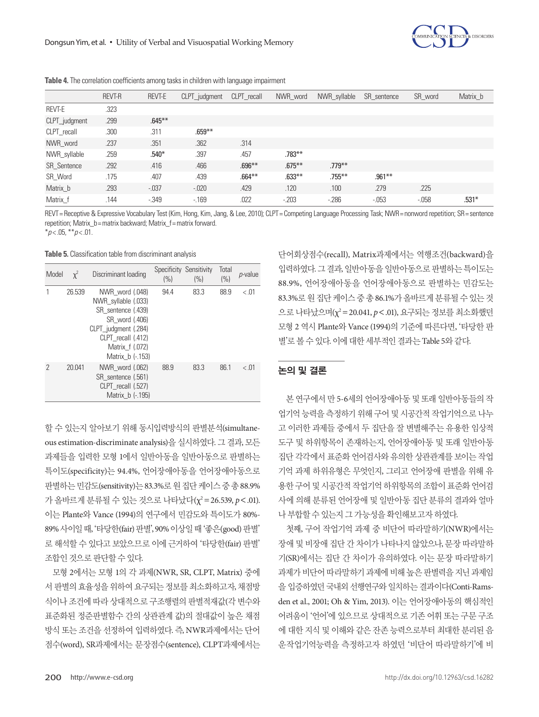

|               | REVT-R | REVT-E    | CLPT_judgment | CLPT recall | NWR_word  | NWR_syllable | SR sentence | SR word  | Matrix b |
|---------------|--------|-----------|---------------|-------------|-----------|--------------|-------------|----------|----------|
| REVT-E        | .323   |           |               |             |           |              |             |          |          |
| CLPT_judgment | .299   | $.645***$ |               |             |           |              |             |          |          |
| CLPT_recall   | .300   | .311      | $.659***$     |             |           |              |             |          |          |
| NWR word      | .237   | .351      | .362          | .314        |           |              |             |          |          |
| NWR_syllable  | .259   | $.540*$   | .397          | .457        | $.783***$ |              |             |          |          |
| SR_Sentence   | .292   | .416      | .466          | $.696**$    | $.675***$ | $.779***$    |             |          |          |
| SR Word       | .175   | .407      | .439          | $.664***$   | $.633***$ | $.755***$    | $.961***$   |          |          |
| Matrix_b      | .293   | $-.037$   | $-0.020$      | .429        | .120      | .100         | .279        | .225     |          |
| Matrix f      | .144   | $-0.349$  | $-169$        | .022        | $-203$    | $-286$       | $-0.053$    | $-0.058$ | $.531*$  |

**Table 4.** The correlation coefficients among tasks in children with language impairment

REVT=Receptive & Expressive Vocabulary Test (Kim, Hong, Kim, Jang, & Lee, 2010); CLPT=Competing Language Processing Task; NWR=nonword repetition; SR=sentence repetition; Matrix\_b= matrix backward; Matrix\_f= matrix forward.

\**p* < .05, \*\**p* < .01.

**Table 5.** Classification table from discriminant analysis

| Model | $\mathbf{x}^2$ | Discriminant loading                                                                                                                                                | Specificity<br>(% ) | Sensitivity<br>(%) | Total<br>(% ) | <i>p</i> -value |
|-------|----------------|---------------------------------------------------------------------------------------------------------------------------------------------------------------------|---------------------|--------------------|---------------|-----------------|
|       | 26.539         | NWR word (.048)<br>NWR_syllable (.033)<br>SR sentence (.439)<br>SR word (.406)<br>CLPT judgment (.284)<br>CLPT recall (.412)<br>Matrix f (.072)<br>Matrix b (-.153) | 94.4                | 83.3               | 88.9          | < .01           |
| 2     | 20.041         | NWR word (.062)<br>SR sentence (.561)<br>CLPT recall (.527)<br>Matrix b (-.195)                                                                                     | 88.9                | 83.3               | 861           | < 01            |

할 수 있는지 알아보기 위해 동시입력방식의 판별분석(simultaneous estimation-discriminate analysis)을 실시하였다. 그 결과, 모든 과제들을 입력한 모형 1에서 일반아동을 일반아동으로 판별하는 특이도(specificity)는 94.4%, 언어장애아동을 언어장애아동으로 판별하는 민감도(sensitivity)는 83.3%로 원 집단 케이스 중 총 88.9% 가 올바르게 분류될 수 있는 것으로 나타났다(χ² = 26.539, *p* < .01). 이는 Plante와 Vance (1994)의 연구에서 민감도와 특이도가 80%- 89% 사이일때, '타당한(fair) 판별', 90% 이상일때'좋은(good) 판별' 로 해석할 수 있다고 보았으므로 이에 근거하여 '타당한(fair) 판별' 조합인것으로판단할수있다.

모형 2에서는 모형 1의 각 과제(NWR, SR, CLPT, Matrix) 중에 서판별의효율성을위하여요구되는정보를최소화하고자, 채점방 식이나 조건에 따라 상대적으로 구조행렬의 판별적재값(각 변수와 표준화된 정준판별함수 간의 상관관계 값)의 절대값이 높은 채점 방식 또는 조건을 선정하여 입력하였다. 즉, NWR과제에서는 단어 점수(word), SR과제에서는 문장점수(sentence), CLPT과제에서는 단어회상점수(recall), Matrix과제에서는 역행조건(backward)을 입력하였다. 그결과, 일반아동을일반아동으로판별하는특이도는 88.9%, 언어장애아동을 언어장애아동으로 판별하는 민감도는 83.3%로원집단케이스중총 86.1%가올바르게분류될수있는것 으로 나타났으며(χ2 =20.041, *p*<.01), 요구되는 정보를 최소화했던 모형 2 역시 Plante와 Vance (1994)의 기준에 따른다면, '타당한 판 별'로볼수있다. 이에대한세부적인결과는 Table 5와같다.

## 논의 및 결론

본 연구에서 만 5-6세의 언어장애아동 및 또래 일반아동들의 작 업기억 능력을 측정하기 위해 구어 및 시공간적 작업기억으로 나누 고 이러한 과제들 중에서 두 집단을 잘 변별해주는 유용한 임상적 도구 및 하위항목이 존재하는지, 언어장애아동 및 또래 일반아동 집단 각각에서 표준화 언어검사와 유의한 상관관계를 보이는 작업 기억 과제 하위유형은 무엇인지, 그리고 언어장애 판별을 위해 유 용한 구어 및 시공간적 작업기억 하위항목의 조합이 표준화 언어검 사에 의해 분류된 언어장애 및 일반아동 집단 분류의 결과와 얼마 나부합할수있는지그가능성을확인해보고자하였다.

첫째, 구어 작업기억 과제 중 비단어 따라말하기(NWR)에서는 장애 및 비장애 집단 간 차이가 나타나지 않았으나, 문장 따라말하 기(SR)에서는 집단 간 차이가 유의하였다. 이는 문장 따라말하기 과제가 비단어 따라말하기 과제에 비해 높은 판별력을 지닌 과제임 을 입증하였던 국내외 선행연구와 일치하는 결과이다(Conti-Ramsden et al., 2001; Oh & Yim, 2013). 이는 언어장애아동의 핵심적인 어려움이 '언어'에 있으므로 상대적으로 기존 어휘 또는 구문 구조 에 대한 지식 및 이해와 같은 잔존 능력으로부터 최대한 분리된 음 운작업기억능력을 측정하고자 하였던 '비단어 따라말하기'에 비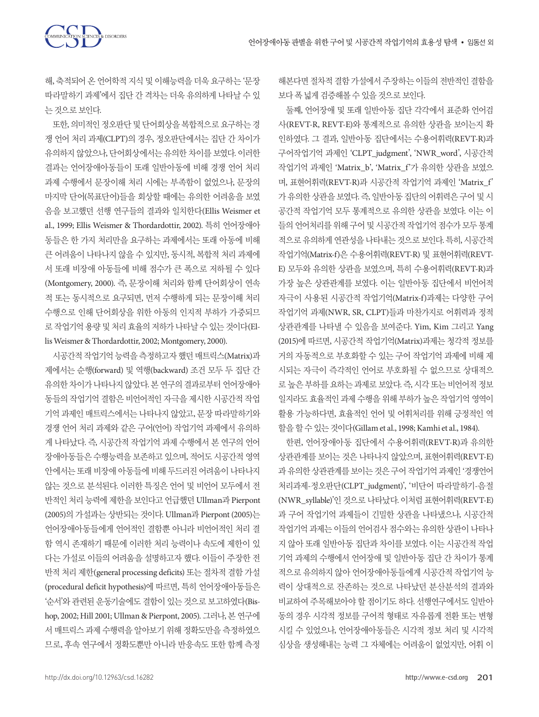

해, 축적되어 온 언어학적 지식 및 이해능력을 더욱 요구하는 '문장 따라말하기 과제'에서 집단 간 격차는 더욱 유의하게 나타날 수 있 는것으로보인다.

또한, 의미적인 정오판단 및 단어회상을 복합적으로 요구하는 경 쟁 언어 처리 과제(CLPT)의 경우, 정오판단에서는 집단 간 차이가 유의하지 않았으나, 단어회상에서는 유의한 차이를 보였다. 이러한 결과는 언어장애아동들이 또래 일반아동에 비해 경쟁 언어 처리 과제 수행에서 문장이해 처리 시에는 부족함이 없었으나, 문장의 마지막 단어(목표단어)들을 회상할 때에는 유의한 어려움을 보였 음을 보고했던 선행 연구들의 결과와 일치한다(Ellis Weismer et al., 1999; Ellis Weismer & Thordardottir, 2002). 특히 언어장애아 동들은 한 가지 처리만을 요구하는 과제에서는 또래 아동에 비해 큰 어려움이 나타나지 않을 수 있지만, 동시적, 복합적 처리 과제에 서 또래 비장애 아동들에 비해 점수가 큰 폭으로 저하될 수 있다 (Montgomery, 2000). 즉, 문장이해 처리와 함께 단어회상이 연속 적 또는 동시적으로 요구되면, 먼저 수행하게 되는 문장이해 처리 수행으로 인해 단어회상을 위한 아동의 인지적 부하가 가중되므 로 작업기억 용량 및 처리 효율의 저하가 나타날 수 있는 것이다(Ellis Weismer & Thordardottir, 2002; Montgomery, 2000).

시공간적 작업기억 능력을 측정하고자 했던 매트릭스(Matrix)과 제에서는 순행(forward) 및 역행(backward) 조건 모두 두 집단 간 유의한 차이가 나타나지 않았다. 본 연구의 결과로부터 언어장애아 동들의 작업기억 결함은 비언어적인 자극을 제시한 시공간적 작업 기억 과제인 매트릭스에서는 나타나지 않았고, 문장 따라말하기와 경쟁 언어 처리 과제와 같은 구어(언어) 작업기억 과제에서 유의하 게 나타났다. 즉, 시공간적 작업기억 과제 수행에서 본 연구의 언어 장애아동들은 수행능력을 보존하고 있으며, 적어도 시공간적 영역 안에서는 또래 비장애 아동들에 비해 두드러진 어려움이 나타나지 않는 것으로 분석된다. 이러한 특징은 언어 및 비언어 모두에서 전 반적인 처리 능력에 제한을 보인다고 언급했던 Ullman과 Pierpont (2005)의 가설과는 상반되는 것이다. Ullman과 Pierpont (2005)는 언어장애아동들에게 언어적인 결함뿐 아니라 비언어적인 처리 결 함 역시 존재하기 때문에 이러한 처리 능력이나 속도에 제한이 있 다는 가설로 이들의 어려움을 설명하고자 했다. 이들이 주장한 전 반적 처리 제한(general processing deficits) 또는 절차적 결함 가설 (procedural deficit hypothesis)에 따르면, 특히 언어장애아동들은 '순서'와 관련된 운동기술에도 결함이 있는 것으로 보고하였다(Bishop, 2002; Hill 2001; Ullman & Pierpont, 2005). 그러나, 본 연구에 서 매트릭스 과제 수행력을 알아보기 위해 정확도만을 측정하였으 므로, 후속 연구에서 정확도뿐만 아니라 반응속도 또한 함께 측정

해본다면 절차적 결함 가설에서 주장하는 이들의 전반적인 결함을 보다폭넓게검증해볼수있을것으로보인다.

둘째, 언어장애 및 또래 일반아동 집단 각각에서 표준화 언어검 사(REVT-R, REVT-E)와 통계적으로 유의한 상관을 보이는지 확 인하였다. 그 결과, 일반아동 집단에서는 수용어휘력(REVT-R)과 구어작업기억 과제인 'CLPT\_judgment', 'NWR\_word', 시공간적 작업기억 과제인 'Matrix\_b', 'Matrix\_f'가 유의한 상관을 보였으 며, 표현어휘력(REVT-R)과 시공간적 작업기억 과제인 'Matrix\_f' 가 유의한 상관을 보였다. 즉, 일반아동 집단의 어휘력은 구어 및 시 공간적 작업기억 모두 통계적으로 유의한 상관을 보였다. 이는 이 들의 언어처리를 위해 구어 및 시공간적 작업기억 점수가 모두 통계 적으로 유의하게 연관성을 나타내는 것으로 보인다. 특히, 시공간적 작업기억(Matrix-f)은 수용어휘력(REVT-R) 및 표현어휘력(REVT-E) 모두와 유의한 상관을 보였으며, 특히 수용어휘력(REVT-R)과 가장 높은 상관관계를 보였다. 이는 일반아동 집단에서 비언어적 자극이 사용된 시공간적 작업기억(Matrix-f)과제는 다양한 구어 작업기억 과제(NWR, SR, CLPT)들과 마찬가지로 어휘력과 정적 상관관계를 나타낼 수 있음을 보여준다. Yim, Kim 그리고 Yang (2015)에 따르면, 시공간적 작업기억(Matrix)과제는 청각적 정보를 거의 자동적으로 부호화할 수 있는 구어 작업기억 과제에 비해 제 시되는 자극이 즉각적인 언어로 부호화될 수 없으므로 상대적으 로 높은 부하를 요하는 과제로 보았다. 즉, 시각 또는 비언어적 정보 일지라도 효율적인 과제 수행을 위해 부하가 높은 작업기억 영역이 활용 가능하다면, 효율적인 언어 및 어휘처리를 위해 긍정적인 역 할을할수있는것이다(Gillam et al., 1998; Kamhi et al., 1984).

한편, 언어장애아동 집단에서 수용어휘력(REVT-R)과 유의한 상관관계를 보이는 것은 나타나지 않았으며, 표현어휘력(REVT-E) 과 유의한 상관관계를 보이는 것은 구어 작업기억 과제인 '경쟁언어 처리과제-정오판단(CLPT\_judgment)', '비단어 따라말하기-음절 (NWR\_syllable)'인 것으로 나타났다. 이처럼 표현어휘력(REVT-E) 과 구어 작업기억 과제들이 긴밀한 상관을 나타냈으나, 시공간적 작업기억 과제는 이들의 언어검사 점수와는 유의한 상관이 나타나 지 않아 또래 일반아동 집단과 차이를 보였다. 이는 시공간적 작업 기억 과제의 수행에서 언어장애 및 일반아동 집단 간 차이가 통계 적으로 유의하지 않아 언어장애아동들에게 시공간적 작업기억 능 력이 상대적으로 잔존하는 것으로 나타났던 분산분석의 결과와 비교하여 주목해보아야 할 점이기도 하다. 선행연구에서도 일반아 동의 경우 시각적 정보를 구어적 형태로 자유롭게 전환 또는 변형 시킬 수 있었으나, 언어장애아동들은 시각적 정보 처리 및 시각적 심상을 생성해내는 능력 그 자체에는 어려움이 없었지만, 어휘 이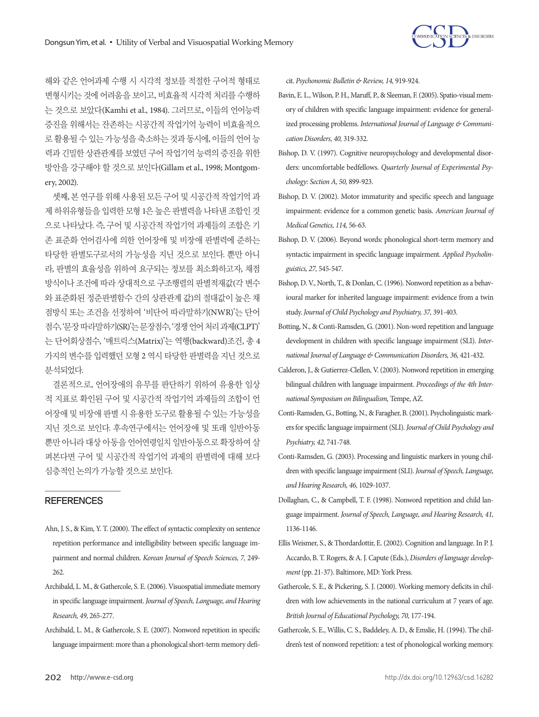

해와 같은 언어과제 수행 시 시각적 정보를 적절한 구어적 형태로 변형시키는 것에 어려움을 보이고, 비효율적 시각적 처리를 수행하 는 것으로 보았다(Kamhi et al., 1984). 그러므로, 이들의 언어능력 증진을 위해서는 잔존하는 시공간적 작업기억 능력이 비효율적으 로 활용될 수 있는 가능성을 축소하는 것과 동시에, 이들의 언어 능 력과 긴밀한 상관관계를 보였던 구어 작업기억 능력의 증진을 위한 방안을 강구해야 할 것으로 보인다(Gillam et al., 1998; Montgomery, 2002).

셋째, 본 연구를 위해 사용된 모든 구어 및 시공간적 작업기억 과 제 하위유형들을 입력한 모형 1은 높은 판별력을 나타낸 조합인 것 으로 나타났다. 즉, 구어 및 시공간적 작업기억 과제들의 조합은 기 존 표준화 언어검사에 의한 언어장애 및 비장애 판별력에 준하는 타당한 판별도구로서의 가능성을 지닌 것으로 보인다. 뿐만 아니 라, 판별의 효율성을 위하여 요구되는 정보를 최소화하고자, 채점 방식이나 조건에 따라 상대적으로 구조행렬의 판별적재값(각 변수 와 표준화된 정준판별함수 간의 상관관계 값)의 절대값이 높은 채 점방식 또는 조건을 선정하여 '비단어 따라말하기(NWR)'는 단어 점수, '문장따라말하기(SR)'는문장점수, '경쟁언어처리과제(CLPT)' 는 단어회상점수, '매트릭스(Matrix)'는 역행(backward)조건, 총 4 가지의 변수를 입력했던 모형 2 역시 타당한 판별력을 지닌 것으로 분석되었다.

결론적으로, 언어장애의 유무를 판단하기 위하여 유용한 임상 적 지표로 확인된 구어 및 시공간적 작업기억 과제들의 조합이 언 어장애 및 비장애 판별 시 유용한 도구로 활용될 수 있는 가능성을 지닌 것으로 보인다. 후속연구에서는 언어장애 및 또래 일반아동 뿐만 아니라 대상 아동을 언어연령일치 일반아동으로 확장하여 살 펴본다면 구어 및 시공간적 작업기억 과제의 판별력에 대해 보다 심층적인논의가가능할것으로보인다.

## **REFERENCES**

- Ahn, J. S., & Kim, Y. T. (2000). The effect of syntactic complexity on sentence repetition performance and intelligibility between specific language impairment and normal children. *Korean Journal of Speech Sciences, 7,* 249- 262.
- Archibald, L. M., & Gathercole, S. E. (2006). Visuospatial immediate memory in specific language impairment. *Journal of Speech, Language, and Hearing Research, 49,* 265-277.
- Archibald, L. M., & Gathercole, S. E. (2007). Nonword repetition in specific language impairment: more than a phonological short-term memory defi-

cit. *Psychonomic Bulletin & Review, 14,* 919-924.

- Bavin, E. L., Wilson, P. H., Maruff, P., & Sleeman, F. (2005). Spatio‐visual memory of children with specific language impairment: evidence for generalized processing problems. *International Journal of Language & Communication Disorders, 40,* 319-332.
- Bishop, D. V. (1997). Cognitive neuropsychology and developmental disorders: uncomfortable bedfellows. *Quarterly Journal of Experimental Psychology: Section A, 50,* 899-923.
- Bishop, D. V. (2002). Motor immaturity and specific speech and language impairment: evidence for a common genetic basis. *American Journal of Medical Genetics, 114,* 56-63.
- Bishop, D. V. (2006). Beyond words: phonological short-term memory and syntactic impairment in specific language impairment. *Applied Psycholinguistics, 27,* 545-547.
- Bishop, D. V., North, T., & Donlan, C. (1996). Nonword repetition as a behavioural marker for inherited language impairment: evidence from a twin study. *Journal of Child Psychology and Psychiatry, 37,* 391-403.
- Botting, N., & Conti‐Ramsden, G. (2001). Non‐word repetition and language development in children with specific language impairment (SLI). *International Journal of Language & Communication Disorders, 36,* 421-432.
- Calderon, J., & Gutierrez-Clellen, V. (2003). Nonword repetition in emerging bilingual children with language impairment. *Proceedings of the 4th International Symposium on Bilingualism,* Tempe, AZ.
- Conti‐Ramsden, G., Botting, N., & Faragher, B. (2001). Psycholinguistic markers for specific language impairment (SLI). *Journal of Child Psychology and Psychiatry, 42,* 741-748.
- Conti-Ramsden, G. (2003). Processing and linguistic markers in young children with specific language impairment (SLI). *Journal of Speech, Language, and Hearing Research, 46,* 1029-1037.
- Dollaghan, C., & Campbell, T. F. (1998). Nonword repetition and child language impairment. *Journal of Speech, Language, and Hearing Research, 41,*  1136-1146.
- Ellis Weismer, S., & Thordardottir, E. (2002). Cognition and language. In P. J. Accardo, B. T. Rogers, & A. J. Capute (Eds.), *Disorders of language development* (pp. 21-37). Baltimore, MD: York Press.
- Gathercole, S. E., & Pickering, S. J. (2000). Working memory deficits in children with low achievements in the national curriculum at 7 years of age. *British Journal of Educational Psychology, 70,* 177-194.
- Gathercole, S. E., Willis, C. S., Baddeley, A. D., & Emslie, H. (1994). The children's test of nonword repetition: a test of phonological working memory.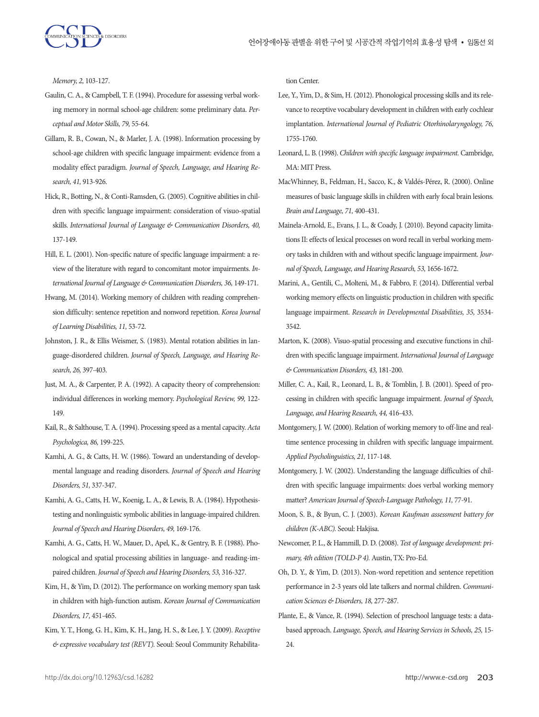

*Memory, 2,* 103-127.

- Gaulin, C. A., & Campbell, T. F. (1994). Procedure for assessing verbal working memory in normal school-age children: some preliminary data. *Perceptual and Motor Skills, 79,* 55-64.
- Gillam, R. B., Cowan, N., & Marler, J. A. (1998). Information processing by school-age children with specific language impairment: evidence from a modality effect paradigm. *Journal of Speech, Language, and Hearing Research, 41,* 913-926.
- Hick, R., Botting, N., & Conti‐Ramsden, G. (2005). Cognitive abilities in children with specific language impairment: consideration of visuo‐spatial skills. *International Journal of Language & Communication Disorders, 40,*  137-149.
- Hill, E. L. (2001). Non-specific nature of specific language impairment: a review of the literature with regard to concomitant motor impairments. *International Journal of Language & Communication Disorders, 36,* 149-171.
- Hwang, M. (2014). Working memory of children with reading comprehension difficulty: sentence repetition and nonword repetition. *Korea Journal of Learning Disabilities, 11,* 53-72.
- Johnston, J. R., & Ellis Weismer, S. (1983). Mental rotation abilities in language-disordered children. *Journal of Speech, Language, and Hearing Research, 26,* 397-403.
- Just, M. A., & Carpenter, P. A. (1992). A capacity theory of comprehension: individual differences in working memory. *Psychological Review, 99,* 122- 149.
- Kail, R., & Salthouse, T. A. (1994). Processing speed as a mental capacity. *Acta Psychologica, 86,* 199-225.
- Kamhi, A. G., & Catts, H. W. (1986). Toward an understanding of developmental language and reading disorders. *Journal of Speech and Hearing Disorders, 51,* 337-347.
- Kamhi, A. G., Catts, H. W., Koenig, L. A., & Lewis, B. A. (1984). Hypothesistesting and nonlinguistic symbolic abilities in language-impaired children. *Journal of Speech and Hearing Disorders, 49,* 169-176.
- Kamhi, A. G., Catts, H. W., Mauer, D., Apel, K., & Gentry, B. F. (1988). Phonological and spatial processing abilities in language- and reading-impaired children. *Journal of Speech and Hearing Disorders, 53,* 316-327.
- Kim, H., & Yim, D. (2012). The performance on working memory span task in children with high-function autism. *Korean Journal of Communication Disorders, 17,* 451-465.
- Kim, Y. T., Hong, G. H., Kim, K. H., Jang, H. S., & Lee, J. Y. (2009). *Receptive & expressive vocabulary test (REVT).* Seoul: Seoul Community Rehabilita-

tion Center.

- Lee, Y., Yim, D., & Sim, H. (2012). Phonological processing skills and its relevance to receptive vocabulary development in children with early cochlear implantation. *International Journal of Pediatric Otorhinolaryngology, 76,*  1755-1760.
- Leonard, L. B. (1998). *Children with specific language impairment.* Cambridge, MA: MIT Press.
- MacWhinney, B., Feldman, H., Sacco, K., & Valdés-Pérez, R. (2000). Online measures of basic language skills in children with early focal brain lesions. *Brain and Language, 71,* 400-431.
- Mainela-Arnold, E., Evans, J. L., & Coady, J. (2010). Beyond capacity limitations II: effects of lexical processes on word recall in verbal working memory tasks in children with and without specific language impairment. *Journal of Speech, Language, and Hearing Research, 53,* 1656-1672.
- Marini, A., Gentili, C., Molteni, M., & Fabbro, F. (2014). Differential verbal working memory effects on linguistic production in children with specific language impairment. *Research in Developmental Disabilities, 35,* 3534- 3542.
- Marton, K. (2008). Visuo‐spatial processing and executive functions in children with specific language impairment. *International Journal of Language & Communication Disorders, 43,* 181-200.
- Miller, C. A., Kail, R., Leonard, L. B., & Tomblin, J. B. (2001). Speed of processing in children with specific language impairment. *Journal of Speech, Language, and Hearing Research, 44,* 416-433.
- Montgomery, J. W. (2000). Relation of working memory to off-line and realtime sentence processing in children with specific language impairment. *Applied Psycholinguistics, 21,* 117-148.
- Montgomery, J. W. (2002). Understanding the language difficulties of children with specific language impairments: does verbal working memory matter? *American Journal of Speech-Language Pathology, 11,* 77-91.
- Moon, S. B., & Byun, C. J. (2003). *Korean Kaufman assessment battery for children (K-ABC).* Seoul: Hakjisa.
- Newcomer, P. L., & Hammill, D. D. (2008). *Test of language development: primary, 4th edition (TOLD-P 4).* Austin, TX: Pro-Ed.
- Oh, D. Y., & Yim, D. (2013). Non-word repetition and sentence repetition performance in 2-3 years old late talkers and normal children. *Communication Sciences & Disorders, 18,* 277-287.
- Plante, E., & Vance, R. (1994). Selection of preschool language tests: a databased approach. *Language, Speech, and Hearing Services in Schools, 25,* 15- 24.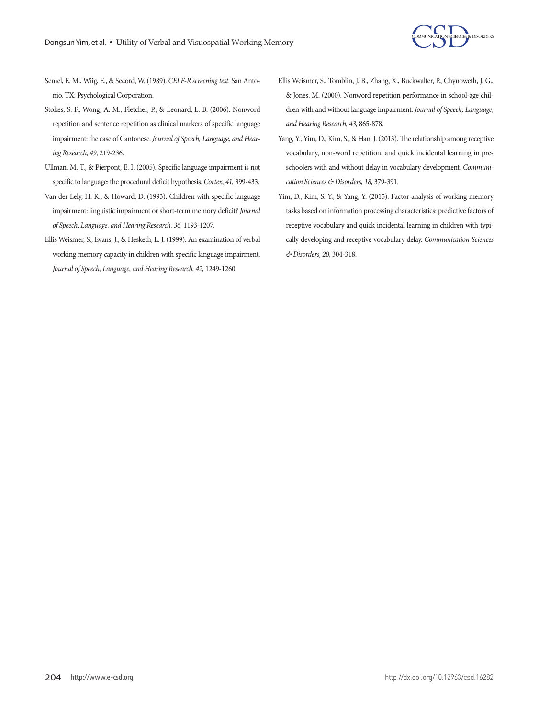

- Semel, E. M., Wiig, E., & Secord, W. (1989). *CELF-R screening test.* San Antonio, TX: Psychological Corporation.
- Stokes, S. F., Wong, A. M., Fletcher, P., & Leonard, L. B. (2006). Nonword repetition and sentence repetition as clinical markers of specific language impairment: the case of Cantonese. *Journal of Speech, Language, and Hearing Research, 49,* 219-236.
- Ullman, M. T., & Pierpont, E. I. (2005). Specific language impairment is not specific to language: the procedural deficit hypothesis. *Cortex, 41,* 399-433.
- Van der Lely, H. K., & Howard, D. (1993). Children with specific language impairment: linguistic impairment or short-term memory deficit? *Journal of Speech, Language, and Hearing Research, 36,* 1193-1207.
- Ellis Weismer, S., Evans, J., & Hesketh, L. J. (1999). An examination of verbal working memory capacity in children with specific language impairment. Journal of Speech, Language, and Hearing Research, 42, 1249-1260.
- Ellis Weismer, S., Tomblin, J. B., Zhang, X., Buckwalter, P., Chynoweth, J. G., & Jones, M. (2000). Nonword repetition performance in school-age children with and without language impairment. *Journal of Speech, Language, and Hearing Research, 43,* 865-878.
- Yang, Y., Yim, D., Kim, S., & Han, J. (2013). The relationship among receptive vocabulary, non-word repetition, and quick incidental learning in preschoolers with and without delay in vocabulary development. *Communication Sciences & Disorders, 18,* 379-391.
- Yim, D., Kim, S. Y., & Yang, Y. (2015). Factor analysis of working memory tasks based on information processing characteristics: predictive factors of receptive vocabulary and quick incidental learning in children with typically developing and receptive vocabulary delay. *Communication Sciences & Disorders, 20,* 304-318.